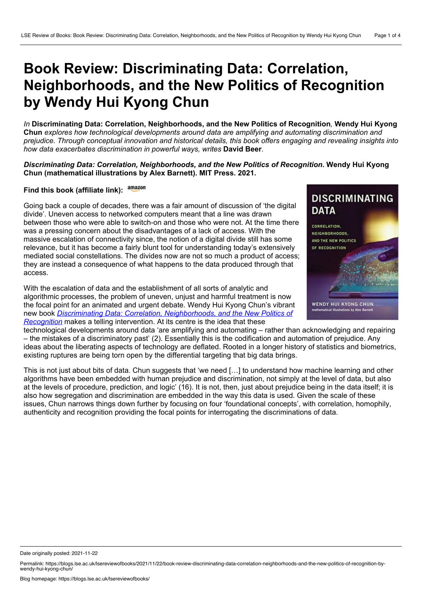## **Book Review: Discriminating Data: Correlation, Neighborhoods, and the New Politics of Recognition by Wendy Hui Kyong Chun**

*In* **Discriminating Data: Correlation, Neighborhoods, and the New Politics of Recognition***,* **Wendy Hui Kyong Chun** *explores how technological developments around data are amplifying and automating discrimination and prejudice. Through conceptual innovation and historical details, this book offers engaging and revealing insights into how data exacerbates discrimination in powerful ways, writes* **David Beer***.*

*Discriminating Data: Correlation, Neighborhoods, and the New Politics of Recognition***. Wendy Hui Kyong Chun (mathematical illustrations by Alex Barnett). MIT Press. 2021.**

## **Find this book (affiliate link):**

Going back a couple of decades, there was a fair amount of discussion of 'the digital divide'. Uneven access to networked computers meant that a line was drawn between those who were able to switch-on and those who were not. At the time there was a pressing concern about the disadvantages of a lack of access. With the massive escalation of connectivity since, the notion of a digital divide still has some relevance, but it has become a fairly blunt tool for understanding today's extensively mediated social constellations. The divides now are not so much a product of access; they are instead a consequence of what happens to the data produced through that access.

With the escalation of data and the establishment of all sorts of analytic and algorithmic processes, the problem of uneven, unjust and harmful treatment is now the focal point for an animated and urgent debate. Wendy Hui Kyong Chun's vibrant new book *Discriminating Data: Correlation, [Neighborhoods,](https://mitpress.mit.edu/books/discriminating-data) and the New Politics of Recognition* makes a telling intervention. At its centre is the idea that these



technological developments around data 'are amplifying and automating – rather than acknowledging and repairing – the mistakes of a discriminatory past' (2). Essentially this is the codification and automation of prejudice. Any ideas about the liberating aspects of technology are deflated. Rooted in a longer history of statistics and biometrics, existing ruptures are being torn open by the differential targeting that big data brings.

This is not just about bits of data. Chun suggests that 'we need […] to understand how machine learning and other algorithms have been embedded with human prejudice and discrimination, not simply at the level of data, but also at the levels of procedure, prediction, and logic' (16). It is not, then, just about prejudice being in the data itself; it is also how segregation and discrimination are embedded in the way this data is used. Given the scale of these issues, Chun narrows things down further by focusing on four 'foundational concepts', with correlation, homophily, authenticity and recognition providing the focal points for interrogating the discriminations of data.

Date originally posted: 2021-11-22

Permalink: https://blogs.lse.ac.uk/lsereviewofbooks/2021/11/22/book-review-discriminating-data-correlation-neighborhoods-and-the-new-politics-of-recognition-by-<br>wendy-hui-kyong-chun/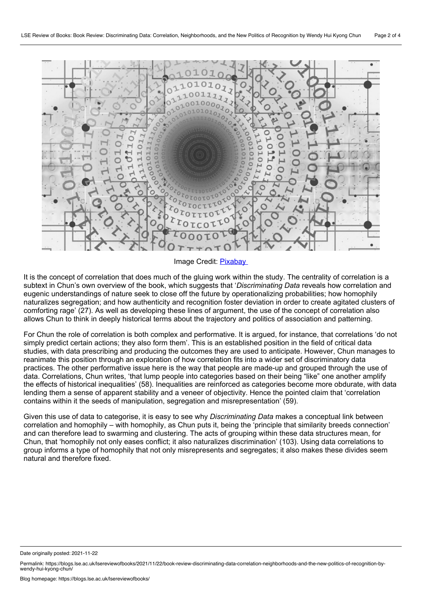

Image Credit: [Pixabay](https://pixabay.com/illustrations/web-network-programming-3706563/)

It is the concept of correlation that does much of the gluing work within the study. The centrality of correlation is a subtext in Chun's own overview of the book, which suggests that '*Discriminating Data* reveals how correlation and eugenic understandings of nature seek to close off the future by operationalizing probabilities; how homophily naturalizes segregation; and how authenticity and recognition foster deviation in order to create agitated clusters of comforting rage' (27). As well as developing these lines of argument, the use of the concept of correlation also allows Chun to think in deeply historical terms about the trajectory and politics of association and patterning.

For Chun the role of correlation is both complex and performative. It is argued, for instance, that correlations 'do not simply predict certain actions; they also form them'. This is an established position in the field of critical data studies, with data prescribing and producing the outcomes they are used to anticipate. However, Chun manages to reanimate this position through an exploration of how correlation fits into a wider set of discriminatory data practices. The other performative issue here is the way that people are made-up and grouped through the use of data. Correlations, Chun writes, 'that lump people into categories based on their being "like" one another amplify the effects of historical inequalities' (58). Inequalities are reinforced as categories become more obdurate, with data lending them asense of apparent stability and a veneer of objectivity. Hence the pointed claim that 'correlation contains within it the seeds of manipulation, segregation and misrepresentation' (59).

Given this use of data to categorise, it is easy to see why *Discriminating Data* makes a conceptual link between correlation and homophily – with homophily, as Chun puts it, being the 'principle that similarity breeds connection' and can therefore lead to swarming and clustering. The acts of grouping within these data structures mean, for Chun, that 'homophily not only eases conflict; it also naturalizes discrimination' (103). Using data correlations to group informs a type of homophily that not only misrepresents and segregates; it also makes these divides seem natural and therefore fixed.

Date originally posted: 2021-11-22

Permalink: https://blogs.lse.ac.uk/lsereviewofbooks/2021/11/22/book-review-discriminating-data-correlation-neighborhoods-and-the-new-politics-of-recognition-by-<br>wendy-hui-kyong-chun/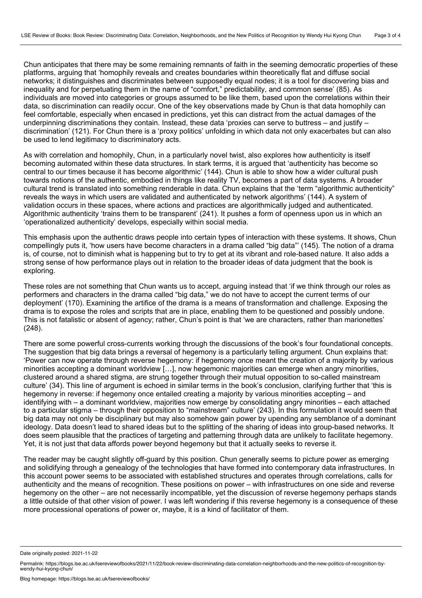Chun anticipates that there may be some remaining remnants of faith in the seeming democratic properties of these platforms, arguing that 'homophily reveals and creates boundaries within theoretically flat and diffuse social networks; it distinguishes and discriminates between supposedly equal nodes; it is a tool for discovering bias and inequality and for perpetuating them in the name of "comfort," predictability, and common sense' (85). As individuals are moved into categories or groups assumed to be like them, based upon the correlations within their data, so discrimination can readily occur. One of the key observations made by Chun is that data homophily can feel comfortable, especially when encased in predictions, yet this can distract from the actual damages of the underpinning discriminations they contain. Instead, these data 'proxies can serve to buttress – and justify – discrimination' (121). For Chun there is a 'proxy politics' unfolding in which data not only exacerbates but can also be used to lend legitimacy to discriminatory acts.

As with correlation and homophily, Chun, in a particularly novel twist, also explores how authenticity is itself becoming automated within these data structures. In stark terms, it is argued that 'authenticity has become so central to our times because it has become algorithmic' (144). Chun is able to show how a wider cultural push towards notions of the authentic, embodied in things like reality TV, becomes a part of data systems. A broader cultural trend is translated into something renderable in data. Chun explains that the 'term "algorithmic authenticity" reveals the ways in which users are validated and authenticated by network algorithms' (144). A system of validation occurs in these spaces, where actions and practices are algorithmically judged and authenticated. Algorithmic authenticity 'trains them to be transparent' (241). It pushes a form of openness upon us in which an 'operationalized authenticity' develops, especially within social media.

This emphasis upon the authentic draws people into certain types of interaction with these systems. It shows, Chun compellingly puts it, 'how users have become characters in a drama called "big data"' (145). The notion of a drama is, of course, not to diminish what is happening but to try to get at its vibrant and role-based nature. It also adds a strong sense of how performance plays out in relation to the broader ideas of data judgment that the book is exploring.

These roles are not something that Chun wants us to accept, arguing instead that 'if we think through our roles as performers and characters in the drama called "big data," we do not have to accept the current terms of our deployment' (170). Examining the artifice of the drama is a means of transformation and challenge. Exposing the drama is to expose the roles and scripts that are in place, enabling them to be questioned and possibly undone. This is not fatalistic or absent of agency; rather, Chun's point is that 'we are characters, rather than marionettes' (248).

There are some powerful cross-currents working through the discussions of the book's four foundational concepts. The suggestion that big data brings a reversal of hegemony is a particularly telling argument. Chun explains that: 'Power can now operate through reverse hegemony: if hegemony once meant the creation of a majority by various minorities accepting a dominant worldview […], now hegemonic majorities can emerge when angry minorities, clustered around a shared stigma, are strung together through their mutual opposition to so-called mainstream culture' (34). This line of argument is echoed in similar terms in the book's conclusion, clarifying further that 'this is hegemony in reverse: if hegemony once entailed creating a majority by various minorities accepting – and identifying with – a dominant worldview, majorities now emerge by consolidating angry minorities – each attached to a particular stigma – through their opposition to "mainstream" culture' (243). In this formulation it would seem that big data may not only be disciplinary but may also somehow gain power by upending any semblance of a dominant ideology. Data doesn't lead to shared ideas but to the splitting of the sharing of ideas into group-based networks. It does seem plausible that the practices of targeting and patterning through data are unlikely to facilitate hegemony. Yet, it is not just that data affords power beyond hegemony but that it actually seeks to reverse it.

The reader may be caught slightly off-guard by this position. Chun generally seems to picture power as emerging and solidifying through a genealogy of the technologies that have formed into contemporary data infrastructures. In this account power seems to be associated with established structures and operates through correlations, calls for authenticity and the means of recognition. These positions on power – with infrastructures on one side and reverse hegemony on the other – are not necessarily incompatible, yet the discussion of reverse hegemony perhaps stands a little outside of that other vision of power. I was left wondering if this reverse hegemony is a consequence of these more processional operations of power or, maybe, it is a kind of facilitator of them.

Date originally posted: 2021-11-22

Permalink: https://blogs.lse.ac.uk/lsereviewofbooks/2021/11/22/book-review-discriminating-data-correlation-neighborhoods-and-the-new-politics-of-recognition-by-<br>wendy-hui-kyong-chun/